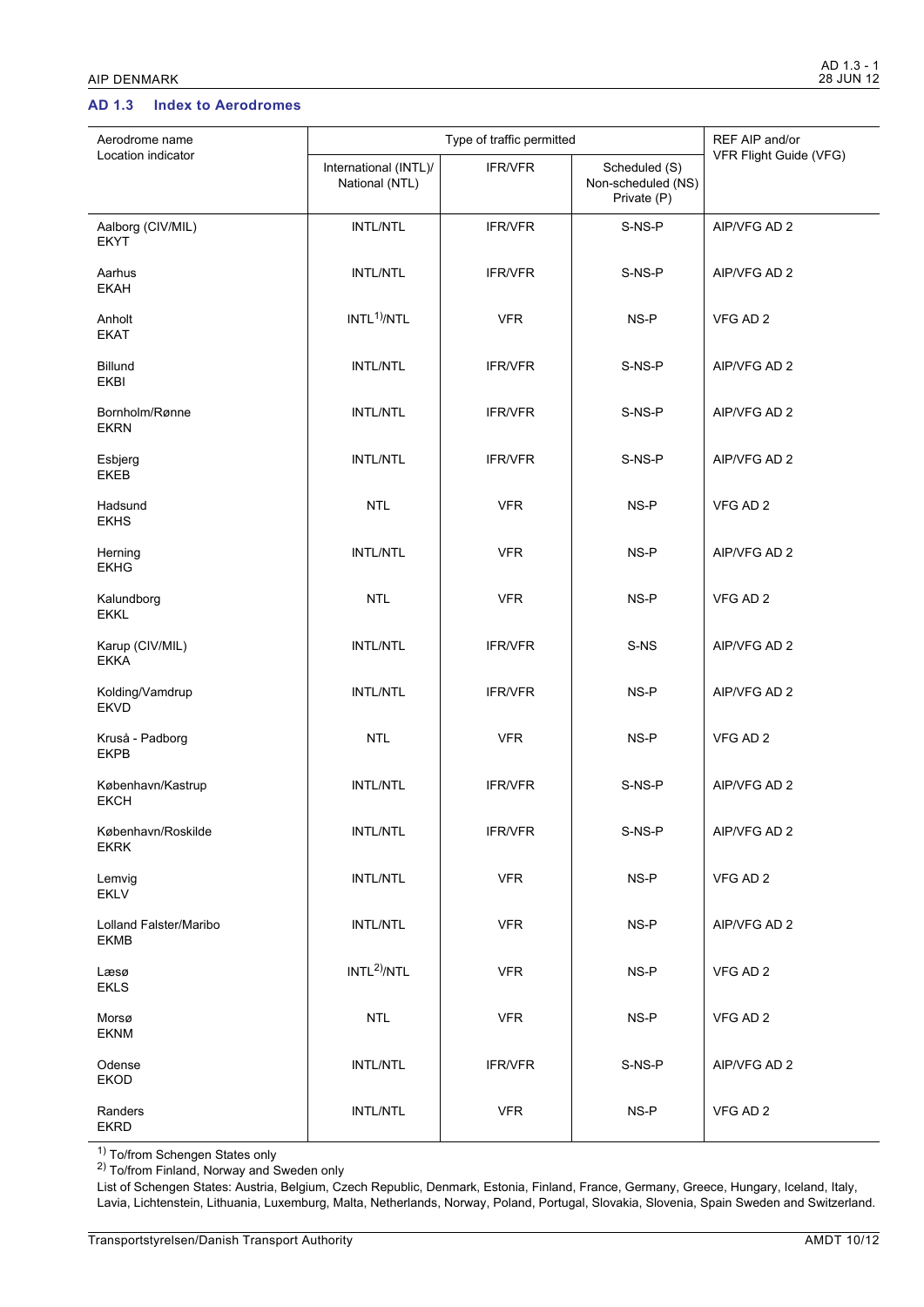## **AD 1.3 Index to Aerodromes**

| Aerodrome name                        | Type of traffic permitted               |                |                                                    | REF AIP and/or         |
|---------------------------------------|-----------------------------------------|----------------|----------------------------------------------------|------------------------|
| Location indicator                    | International (INTL)/<br>National (NTL) | IFR/VFR        | Scheduled (S)<br>Non-scheduled (NS)<br>Private (P) | VFR Flight Guide (VFG) |
| Aalborg (CIV/MIL)<br><b>EKYT</b>      | INTL/NTL                                | <b>IFR/VFR</b> | S-NS-P                                             | AIP/VFG AD 2           |
| Aarhus<br><b>EKAH</b>                 | <b>INTL/NTL</b>                         | <b>IFR/VFR</b> | S-NS-P                                             | AIP/VFG AD 2           |
| Anholt<br><b>EKAT</b>                 | INTL <sup>1</sup> /NTL                  | <b>VFR</b>     | NS-P                                               | VFG AD 2               |
| Billund<br>EKBI                       | <b>INTL/NTL</b>                         | <b>IFR/VFR</b> | S-NS-P                                             | AIP/VFG AD 2           |
| Bornholm/Rønne<br><b>EKRN</b>         | <b>INTL/NTL</b>                         | <b>IFR/VFR</b> | S-NS-P                                             | AIP/VFG AD 2           |
| Esbjerg<br><b>EKEB</b>                | <b>INTL/NTL</b>                         | <b>IFR/VFR</b> | S-NS-P                                             | AIP/VFG AD 2           |
| Hadsund<br><b>EKHS</b>                | <b>NTL</b>                              | <b>VFR</b>     | NS-P                                               | VFG AD 2               |
| Herning<br><b>EKHG</b>                | <b>INTL/NTL</b>                         | <b>VFR</b>     | NS-P                                               | AIP/VFG AD 2           |
| Kalundborg<br><b>EKKL</b>             | <b>NTL</b>                              | <b>VFR</b>     | NS-P                                               | VFG AD 2               |
| Karup (CIV/MIL)<br><b>EKKA</b>        | <b>INTL/NTL</b>                         | <b>IFR/VFR</b> | S-NS                                               | AIP/VFG AD 2           |
| Kolding/Vamdrup<br><b>EKVD</b>        | <b>INTL/NTL</b>                         | <b>IFR/VFR</b> | NS-P                                               | AIP/VFG AD 2           |
| Kruså - Padborg<br><b>EKPB</b>        | <b>NTL</b>                              | <b>VFR</b>     | NS-P                                               | VFG AD 2               |
| København/Kastrup<br><b>EKCH</b>      | <b>INTL/NTL</b>                         | <b>IFR/VFR</b> | S-NS-P                                             | AIP/VFG AD 2           |
| København/Roskilde<br><b>EKRK</b>     | INTL/NTL                                | <b>IFR/VFR</b> | S-NS-P                                             | AIP/VFG AD 2           |
| Lemvig<br><b>EKLV</b>                 | INTL/NTL                                | <b>VFR</b>     | NS-P                                               | VFG AD 2               |
| Lolland Falster/Maribo<br><b>EKMB</b> | INTL/NTL                                | <b>VFR</b>     | NS-P                                               | AIP/VFG AD 2           |
| Læsø<br><b>EKLS</b>                   | INTL <sup>2</sup> /NTL                  | <b>VFR</b>     | NS-P                                               | VFG AD 2               |
| Morsø<br><b>EKNM</b>                  | <b>NTL</b>                              | <b>VFR</b>     | $NS-P$                                             | VFG AD 2               |
| Odense<br>EKOD                        | INTL/NTL                                | <b>IFR/VFR</b> | S-NS-P                                             | AIP/VFG AD 2           |
| Randers<br><b>EKRD</b>                | INTL/NTL                                | <b>VFR</b>     | NS-P                                               | VFG AD 2               |

<sup>1)</sup> To/from Schengen States only

<sup>2)</sup> To/from Finland, Norway and Sweden only

List of Schengen States: Austria, Belgium, Czech Republic, Denmark, Estonia, Finland, France, Germany, Greece, Hungary, Iceland, Italy, Lavia, Lichtenstein, Lithuania, Luxemburg, Malta, Netherlands, Norway, Poland, Portugal, Slovakia, Slovenia, Spain Sweden and Switzerland.